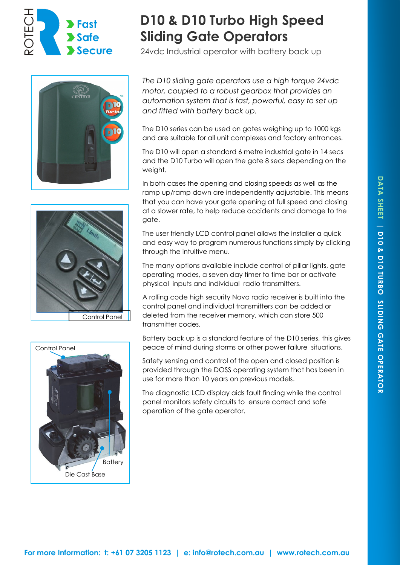







# **D10 & D10 Turbo High Speed Sliding Gate Operators**

24vdc Industrial operator with battery back up

*The D10 sliding gate operators use a high torque 24vdc motor, coupled to a robust gearbox that provides an automation system that is fast, powerful, easy to set up and fitted with battery back up.* 

The D10 series can be used on gates weighing up to 1000 kgs and are suitable for all unit complexes and factory entrances.

The D10 will open a standard 6 metre industrial gate in 14 secs and the D10 Turbo will open the gate 8 secs depending on the weight.

In both cases the opening and closing speeds as well as the ramp up/ramp down are independently adjustable. This means that you can have your gate opening at full speed and closing at a slower rate, to help reduce accidents and damage to the gate.

The user friendly LCD control panel allows the installer a quick and easy way to program numerous functions simply by clicking through the intuitive menu.

The many options available include control of pillar lights, gate operating modes, a seven day timer to time bar or activate physical inputs and individual radio transmitters.

A rolling code high security Nova radio receiver is built into the control panel and individual transmitters can be added or deleted from the receiver memory, which can store 500 transmitter codes.

Battery back up is a standard feature of the D10 series, this gives peace of mind during storms or other power failure situations.

Safety sensing and control of the open and closed position is provided through the DOSS operating system that has been in use for more than 10 years on previous models.

The diagnostic LCD display aids fault finding while the control panel monitors safety circuits to ensure correct and safe operation of the gate operator.